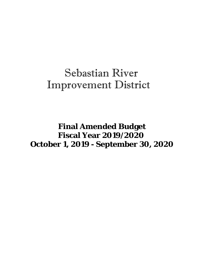## Sebastian River Improvement District

 **Final Amended Budget Fiscal Year 2019/2020 October 1, 2019 - September 30, 2020**